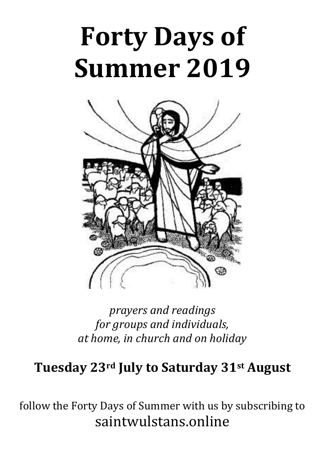# **Forty Days of Summer 2019**



*prayers and readings for groups and individuals, at home, in church and on holiday*

### **Tuesday 23rd July to Saturday 31st August**

follow the Forty Days of Summer with us by subscribing to saintwulstans.online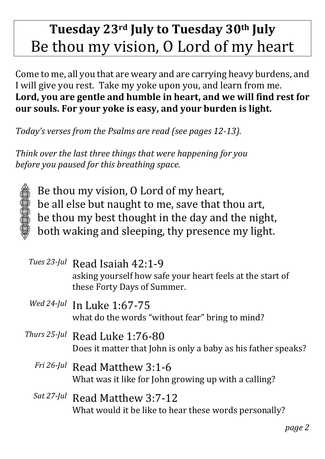# **Tuesday 23rd July to Tuesday 30th July** Be thou my vision, O Lord of my heart

Come to me, all you that are weary and are carrying heavy burdens, and I will give you rest. Take my yoke upon you, and learn from me. **Lord, you are gentle and humble in heart, and we will find rest for our souls. For your yoke is easy, and your burden is light.**

*Today's verses from the Psalms are read (see pages 12-13).*

*Think over the last three things that were happening for you before you paused for this breathing space.*



Be thou my vision, O Lord of my heart, be all else but naught to me, save that thou art, be thou my best thought in the day and the night, both waking and sleeping, thy presence my light.

| Tues 23-Jul Read Isaiah 42:1-9<br>asking yourself how safe your heart feels at the start of<br>these Forty Days of Summer. |
|----------------------------------------------------------------------------------------------------------------------------|
| Wed 24-Jul In Luke 1:67-75<br>what do the words "without fear" bring to mind?                                              |
| Thurs 25-Jul Read Luke 1:76-80<br>Does it matter that John is only a baby as his father speaks?                            |
| $Fri 26$ -/ul Road Matthow 3.1-6                                                                                           |

- *Fri 26-Jul* Read Matthew 3:1-6 What was it like for John growing up with a calling?
- *Sat 27-Jul* Read Matthew 3:7-12 What would it be like to hear these words personally?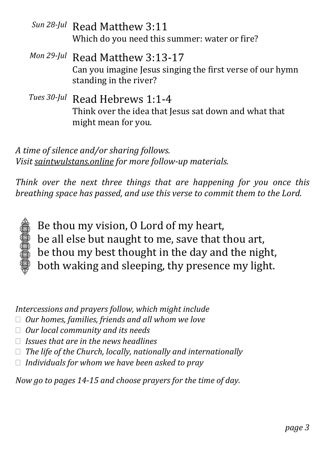- *Sun 28-Jul* Read Matthew 3:11 Which do you need this summer: water or fire?
- *Mon 29-Jul* Read Matthew 3:13-17 Can you imagine Jesus singing the first verse of our hymn standing in the river?
- *Tues 30-Jul* Read Hebrews 1:1-4 Think over the idea that Jesus sat down and what that might mean for you.

*Think over the next three things that are happening for you once this breathing space has passed, and use this verse to commit them to the Lord.*



Be thou my vision, O Lord of my heart, be all else but naught to me, save that thou art, be thou my best thought in the day and the night, both waking and sleeping, thy presence my light.

*Intercessions and prayers follow, which might include*

- *Our homes, families, friends and all whom we love*
- *Our local community and its needs*
- *Issues that are in the news headlines*
- *The life of the Church, locally, nationally and internationally*
- *Individuals for whom we have been asked to pray*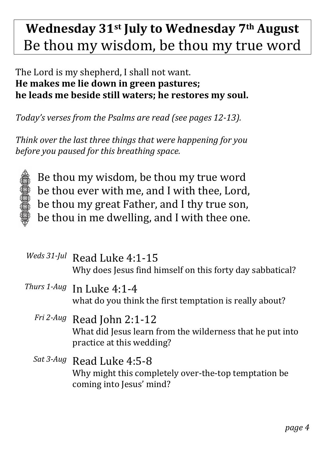# **Wednesday 31st July to Wednesday 7th August** Be thou my wisdom, be thou my true word

### The Lord is my shepherd, I shall not want. **He makes me lie down in green pastures; he leads me beside still waters; he restores my soul.**

*Today's verses from the Psalms are read (see pages 12-13).*

*Think over the last three things that were happening for you before you paused for this breathing space.*



Be thou my wisdom, be thou my true word be thou ever with me, and I with thee, Lord, be thou my great Father, and I thy true son, be thou in me dwelling, and I with thee one.

| Weds 31-Jul Read Luke 4:1-15<br>Why does Jesus find himself on this forty day sabbatical?                            |
|----------------------------------------------------------------------------------------------------------------------|
| Thurs 1-Aug In Luke 4:1-4<br>what do you think the first temptation is really about?                                 |
| Fri 2-Aug Read John 2:1-12<br>What did Jesus learn from the wilderness that he put into<br>practice at this wedding? |
| Sat 3-Aug Read Luke 4:5-8<br>Why might this completely over-the-top temptation be.<br>coming into Jesus' mind?       |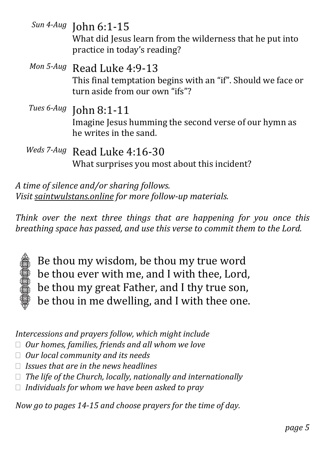|            | Sun 4-Aug John 6:1-15<br>What did Jesus learn from the wilderness that he put into<br>practice in today's reading?           |
|------------|------------------------------------------------------------------------------------------------------------------------------|
|            | Mon 5-Aug Read Luke 4:9-13<br>This final temptation begins with an "if". Should we face or<br>turn aside from our own "ifs"? |
|            | Tues 6-Aug John 8:1-11<br>Imagine Jesus humming the second verse of our hymn as<br>he writes in the sand.                    |
| Weds 7-Aug | Read Luke 4:16-30<br>What surprises you most about this incident?                                                            |

*Think over the next three things that are happening for you once this breathing space has passed, and use this verse to commit them to the Lord.*



Be thou my wisdom, be thou my true word be thou ever with me, and I with thee, Lord, be thou my great Father, and I thy true son, be thou in me dwelling, and I with thee one.

*Intercessions and prayers follow, which might include*

- *Our homes, families, friends and all whom we love*
- *Our local community and its needs*
- *Issues that are in the news headlines*
- *The life of the Church, locally, nationally and internationally*
- *Individuals for whom we have been asked to pray*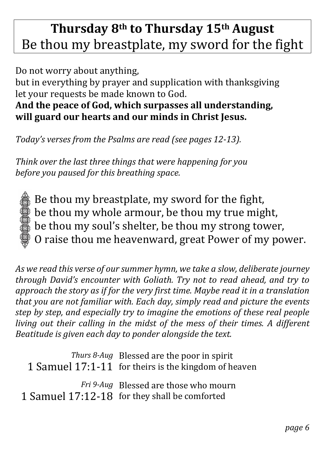# **Thursday 8th to Thursday 15th August** Be thou my breastplate, my sword for the fight

Do not worry about anything, but in everything by prayer and supplication with thanksgiving let your requests be made known to God. **And the peace of God, which surpasses all understanding, will guard our hearts and our minds in Christ Jesus.**

*Today's verses from the Psalms are read (see pages 12-13).*

*Think over the last three things that were happening for you before you paused for this breathing space.*



Be thou my breastplate, my sword for the fight, be thou my whole armour, be thou my true might, be thou my soul's shelter, be thou my strong tower, O raise thou me heavenward, great Power of my power.

*As we read this verse of our summer hymn, we take a slow, deliberate journey through David's encounter with Goliath. Try not to read ahead, and try to approach the story as if for the very first time. Maybe read it in a translation that you are not familiar with. Each day, simply read and picture the events step by step, and especially try to imagine the emotions of these real people living out their calling in the midst of the mess of their times. A different Beatitude is given each day to ponder alongside the text.*

*Thurs 8-Aug* Blessed are the poor in spirit 1 Samuel 17:1-11 for theirs is the kingdom of heaven *Fri 9-Aug* Blessed are those who mourn 1 Samuel 17:12-18 for they shall be comforted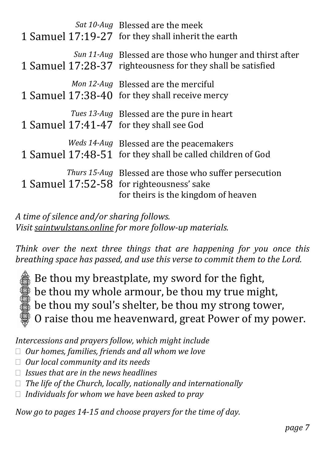| Sat 10-Aug Blessed are the meek<br>1 Samuel 17:19-27 for they shall inherit the earth                                                            |
|--------------------------------------------------------------------------------------------------------------------------------------------------|
| Sun 11-Aug Blessed are those who hunger and thirst after<br>1 Samuel 17:28-37 righteousness for they shall be satisfied                          |
| Mon 12-Aug Blessed are the merciful<br>1 Samuel 17:38-40 for they shall receive mercy                                                            |
| Tues 13-Aug Blessed are the pure in heart<br>1 Samuel 17:41-47 for they shall see God                                                            |
| Weds 14-Aug Blessed are the peacemakers<br>1 Samuel 17:48-51 for they shall be called children of God                                            |
| <i>Thurs 15-Aug</i> Blessed are those who suffer persecution<br>1 Samuel 17:52-58 for righteousness' sake<br>for theirs is the kingdom of heaven |

*Think over the next three things that are happening for you once this breathing space has passed, and use this verse to commit them to the Lord.*



Be thou my breastplate, my sword for the fight, be thou my whole armour, be thou my true might, be thou my soul's shelter, be thou my strong tower, O raise thou me heavenward, great Power of my power.

*Intercessions and prayers follow, which might include*

*Our homes, families, friends and all whom we love*

- *Our local community and its needs*
- *Issues that are in the news headlines*
- *The life of the Church, locally, nationally and internationally*
- *Individuals for whom we have been asked to pray*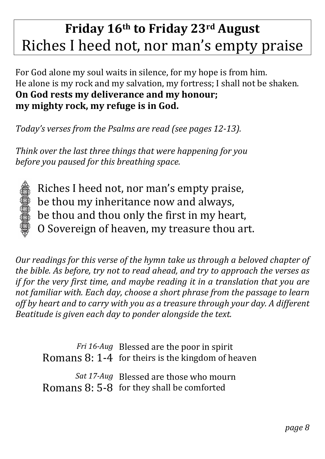# **Friday 16th to Friday 23rd August** Riches I heed not, nor man's empty praise

For God alone my soul waits in silence, for my hope is from him. He alone is my rock and my salvation, my fortress; I shall not be shaken. **On God rests my deliverance and my honour; my mighty rock, my refuge is in God.**

*Today's verses from the Psalms are read (see pages 12-13).*

*Think over the last three things that were happening for you before you paused for this breathing space.*



Riches I heed not, nor man's empty praise, be thou my inheritance now and always, be thou and thou only the first in my heart, O Sovereign of heaven, my treasure thou art.

*Our readings for this verse of the hymn take us through a beloved chapter of the bible. As before, try not to read ahead, and try to approach the verses as if for the very first time, and maybe reading it in a translation that you are not familiar with. Each day, choose a short phrase from the passage to learn off by heart and to carry with you as a treasure through your day. A different Beatitude is given each day to ponder alongside the text.*

*Fri 16-Aug* Blessed are the poor in spirit Romans 8: 1-4 for theirs is the kingdom of heaven

*Sat 17-Aug* Blessed are those who mourn Romans 8: 5-8 for they shall be comforted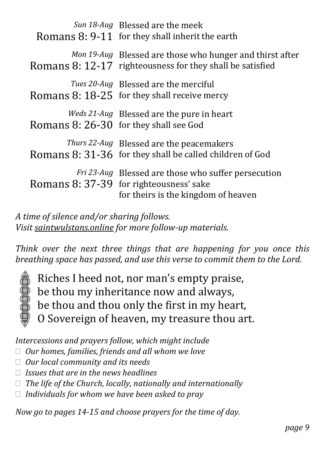| Sun 18-Aug Blessed are the meek<br>Romans 8: 9-11 for they shall inherit the earth                                                           |
|----------------------------------------------------------------------------------------------------------------------------------------------|
| Mon 19-Aug Blessed are those who hunger and thirst after<br>Romans 8: 12-17 righteousness for they shall be satisfied                        |
| Tues 20-Aug Blessed are the merciful<br>Romans 8: 18-25 for they shall receive mercy                                                         |
| Weds 21-Aug Blessed are the pure in heart<br>Romans 8: 26-30 for they shall see God                                                          |
| <i>Thurs 22-Aug</i> Blessed are the peacemakers<br>Romans 8: 31-36 for they shall be called children of God                                  |
| <i>Fri 23-Aug</i> Blessed are those who suffer persecution<br>Romans 8: 37-39 for righteousness' sake<br>for theirs is the kingdom of heaven |

*Think over the next three things that are happening for you once this breathing space has passed, and use this verse to commit them to the Lord.*



Riches I heed not, nor man's empty praise, be thou my inheritance now and always, be thou and thou only the first in my heart, O Sovereign of heaven, my treasure thou art.

*Intercessions and prayers follow, which might include*

- *Our homes, families, friends and all whom we love*
- *Our local community and its needs*
- *Issues that are in the news headlines*
- *The life of the Church, locally, nationally and internationally*
- *Individuals for whom we have been asked to pray*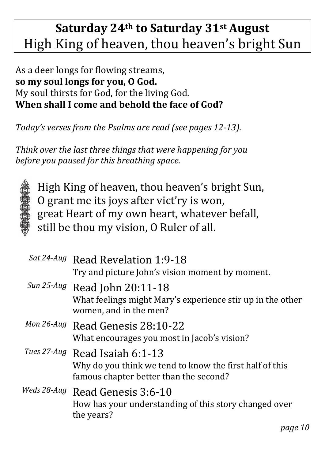## **Saturday 24th to Saturday 31st August** High King of heaven, thou heaven's bright Sun

### As a deer longs for flowing streams, **so my soul longs for you, O God.** My soul thirsts for God, for the living God. **When shall I come and behold the face of God?**

*Today's verses from the Psalms are read (see pages 12-13).*

*Think over the last three things that were happening for you before you paused for this breathing space.*



High King of heaven, thou heaven's bright Sun, O grant me its joys after vict'ry is won, great Heart of my own heart, whatever befall, still be thou my vision, O Ruler of all.

| Sat 24-Aug Read Revelation 1:9-18<br>Try and picture John's vision moment by moment.                                                |
|-------------------------------------------------------------------------------------------------------------------------------------|
| Sun 25-Aug Read John 20:11-18<br>What feelings might Mary's experience stir up in the other<br>women, and in the men?               |
| Mon 26-Aug Read Genesis 28:10-22<br>What encourages you most in Jacob's vision?                                                     |
| Tues 27-Aug Read Isaiah 6:1-13<br>Why do you think we tend to know the first half of this<br>famous chapter better than the second? |
| Weds 28-Aug Read Genesis 3:6-10<br>How has your understanding of this story changed over<br>the years?                              |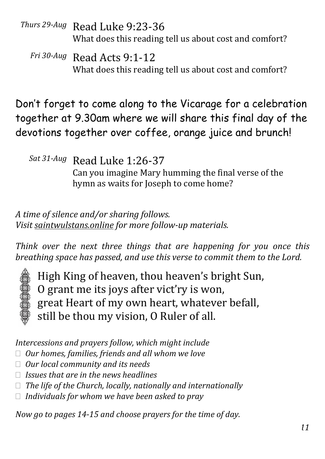*Thurs 29-Aug* Read Luke 9:23-36 What does this reading tell us about cost and comfort?

*Fri 30-Aug* Read Acts 9:1-12 What does this reading tell us about cost and comfort?

Don't forget to come along to the Vicarage for a celebration together at 9.30am where we will share this final day of the devotions together over coffee, orange juice and brunch!

*Sat 31-Aug* Read Luke 1:26-37 Can you imagine Mary humming the final verse of the hymn as waits for Joseph to come home?

*A time of silence and/or sharing follows. Visit saintwulstans.online for more follow-up materials.*

*Think over the next three things that are happening for you once this breathing space has passed, and use this verse to commit them to the Lord.*



High King of heaven, thou heaven's bright Sun, O grant me its joys after vict'ry is won, great Heart of my own heart, whatever befall, still be thou my vision, O Ruler of all.

*Intercessions and prayers follow, which might include*

- *Our homes, families, friends and all whom we love*
- *Our local community and its needs*
- *Issues that are in the news headlines*
- *The life of the Church, locally, nationally and internationally*
- *Individuals for whom we have been asked to pray*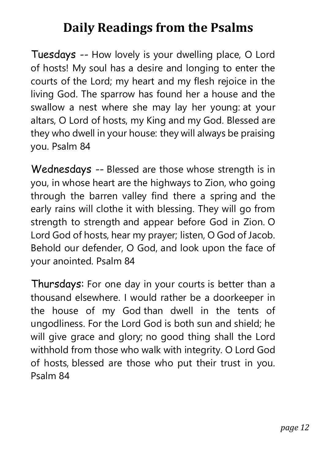### **Daily Readings from the Psalms**

Tuesdays -- How lovely is your dwelling place, O Lord of hosts! My soul has a desire and longing to enter the courts of the Lord; my heart and my flesh rejoice in the living God. The sparrow has found her a house and the swallow a nest where she may lay her young: at your altars, O Lord of hosts, my King and my God. Blessed are they who dwell in your house: they will always be praising you. Psalm 84

Wednesdays -- Blessed are those whose strength is in you, in whose heart are the highways to Zion, who going through the barren valley find there a spring and the early rains will clothe it with blessing. They will go from strength to strength and appear before God in Zion. O Lord God of hosts, hear my prayer; listen, O God of Jacob. Behold our defender, O God, and look upon the face of your anointed. Psalm 84

Thursdays: For one day in your courts is better than a thousand elsewhere. I would rather be a doorkeeper in the house of my God than dwell in the tents of ungodliness. For the Lord God is both sun and shield; he will give grace and glory; no good thing shall the Lord withhold from those who walk with integrity. O Lord God of hosts, blessed are those who put their trust in you. Psalm 84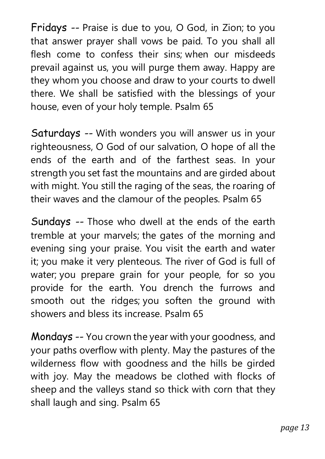Fridays -- Praise is due to you, O God, in Zion; to you that answer prayer shall vows be paid. To you shall all flesh come to confess their sins; when our misdeeds prevail against us, you will purge them away. Happy are they whom you choose and draw to your courts to dwell there. We shall be satisfied with the blessings of your house, even of your holy temple. Psalm 65

Saturdays -- With wonders you will answer us in your righteousness, O God of our salvation, O hope of all the ends of the earth and of the farthest seas. In your strength you set fast the mountains and are girded about with might. You still the raging of the seas, the roaring of their waves and the clamour of the peoples. Psalm 65

Sundays -- Those who dwell at the ends of the earth tremble at your marvels; the gates of the morning and evening sing your praise. You visit the earth and water it; you make it very plenteous. The river of God is full of water; you prepare grain for your people, for so you provide for the earth. You drench the furrows and smooth out the ridges; you soften the ground with showers and bless its increase. Psalm 65

Mondays -- You crown the year with your goodness, and your paths overflow with plenty. May the pastures of the wilderness flow with goodness and the hills be girded with joy. May the meadows be clothed with flocks of sheep and the valleys stand so thick with corn that they shall laugh and sing. Psalm 65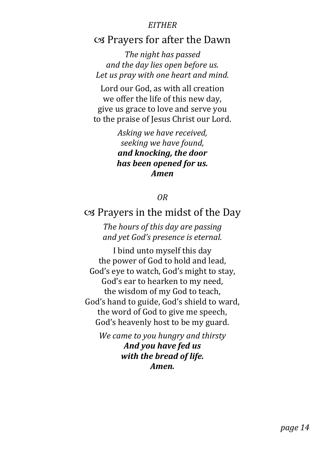#### *EITHER*

### cs Prayers for after the Dawn

*The night has passed and the day lies open before us. Let us pray with one heart and mind.*

Lord our God, as with all creation we offer the life of this new day, give us grace to love and serve you to the praise of Jesus Christ our Lord.

> *Asking we have received, seeking we have found, and knocking, the door has been opened for us. Amen*

#### *OR*

#### $\infty$  Prayers in the midst of the Day

*The hours of this day are passing and yet God's presence is eternal.*

I bind unto myself this day the power of God to hold and lead, God's eye to watch, God's might to stay, God's ear to hearken to my need, the wisdom of my God to teach, God's hand to guide, God's shield to ward, the word of God to give me speech, God's heavenly host to be my guard.

*We came to you hungry and thirsty And you have fed us with the bread of life. Amen.*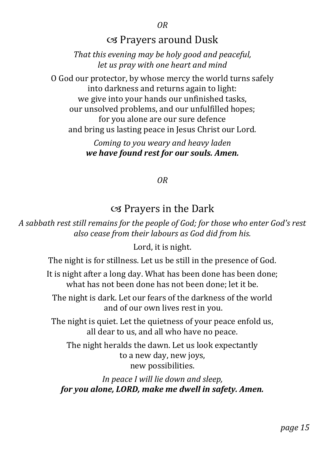*OR*

### cs Prayers around Dusk

*That this evening may be holy good and peaceful, let us pray with one heart and mind*

O God our protector, by whose mercy the world turns safely into darkness and returns again to light: we give into your hands our unfinished tasks, our unsolved problems, and our unfulfilled hopes; for you alone are our sure defence and bring us lasting peace in Jesus Christ our Lord.

> *Coming to you weary and heavy laden we have found rest for our souls. Amen.*

> > *OR*

### cs Prayers in the Dark

*A sabbath rest still remains for the people of God; for those who enter God's rest also cease from their labours as God did from his.*

Lord, it is night.

The night is for stillness. Let us be still in the presence of God.

It is night after a long day. What has been done has been done; what has not been done has not been done; let it be.

The night is dark. Let our fears of the darkness of the world and of our own lives rest in you.

The night is quiet. Let the quietness of your peace enfold us, all dear to us, and all who have no peace.

The night heralds the dawn. Let us look expectantly to a new day, new joys, new possibilities.

*In peace I will lie down and sleep, for you alone, LORD, make me dwell in safety. Amen.*